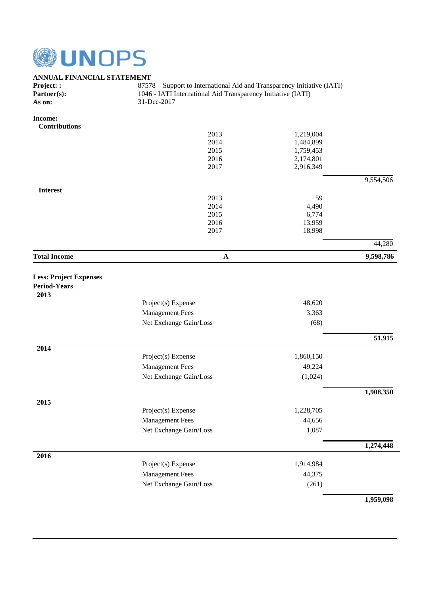

## **ANNUAL FINANCIAL STATEMENT**<br>Project:: 8757

| <b>Project: :</b> | 87578 – Support to International Aid and Transparency Initiative (IATI) |
|-------------------|-------------------------------------------------------------------------|
| Partner(s):       | 1046 - IATI International Aid Transparency Initiative (IATI)            |
| As on:            | 31-Dec-2017                                                             |

## **Income:**

| <b>Contributions</b>          |                        |           |                     |
|-------------------------------|------------------------|-----------|---------------------|
|                               | 2013                   | 1,219,004 |                     |
|                               | 2014                   | 1,484,899 |                     |
|                               | 2015                   | 1,759,453 |                     |
|                               | 2016                   | 2,174,801 |                     |
|                               | 2017                   | 2,916,349 |                     |
|                               |                        |           | 9,554,506           |
| <b>Interest</b>               | 2013                   | 59        |                     |
|                               | 2014                   | 4,490     |                     |
|                               | 2015                   | 6,774     |                     |
|                               | 2016                   | 13,959    |                     |
|                               | 2017                   | 18,998    |                     |
|                               |                        |           | 44,280              |
| <b>Total Income</b>           | ${\bf A}$              |           | 9,598,786           |
| <b>Less: Project Expenses</b> |                        |           |                     |
| <b>Period-Years</b>           |                        |           |                     |
| 2013                          |                        |           |                     |
|                               | Project(s) Expense     | 48,620    |                     |
|                               | <b>Management Fees</b> | 3,363     |                     |
|                               | Net Exchange Gain/Loss | (68)      |                     |
|                               |                        |           | $\overline{51,915}$ |
| 2014                          |                        |           |                     |
|                               | Project(s) Expense     | 1,860,150 |                     |
|                               | <b>Management Fees</b> | 49,224    |                     |
|                               | Net Exchange Gain/Loss | (1,024)   |                     |
|                               |                        |           | 1,908,350           |
| 2015                          | Project(s) Expense     | 1,228,705 |                     |
|                               | Management Fees        | 44,656    |                     |
|                               |                        |           |                     |
|                               | Net Exchange Gain/Loss | 1,087     |                     |
|                               |                        |           | 1,274,448           |
| 2016                          | Project(s) Expense     | 1,914,984 |                     |
|                               | <b>Management Fees</b> | 44,375    |                     |
|                               | Net Exchange Gain/Loss | (261)     |                     |
|                               |                        |           | 1,959,098           |
|                               |                        |           |                     |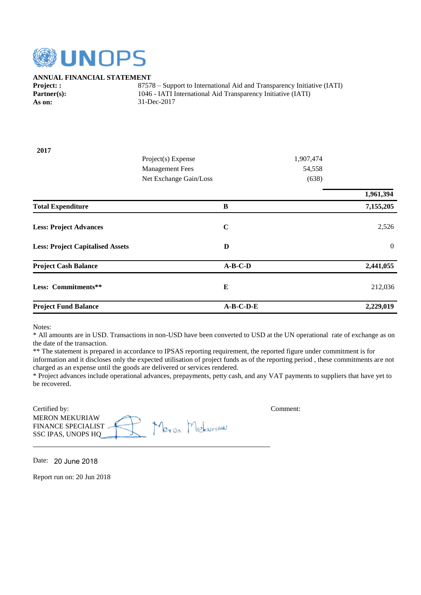

## **ANNUAL FINANCIAL STATEMENT**

**Project: :** 87578 – Support to International Aid and Transparency Initiative (IATI) Partner(s): 1046 - IATI International Aid Transparency Initiative (IATI) **As on:** 31-Dec-2017

| 2017                                    |                        |             |           |                |
|-----------------------------------------|------------------------|-------------|-----------|----------------|
|                                         | Project(s) Expense     |             | 1,907,474 |                |
|                                         | <b>Management Fees</b> |             | 54,558    |                |
|                                         | Net Exchange Gain/Loss |             | (638)     |                |
|                                         |                        |             |           | 1,961,394      |
| <b>Total Expenditure</b>                |                        | B           |           | 7,155,205      |
| <b>Less: Project Advances</b>           |                        | $\mathbf C$ |           | 2,526          |
| <b>Less: Project Capitalised Assets</b> |                        | D           |           | $\overline{0}$ |
| <b>Project Cash Balance</b>             |                        | $A-B-C-D$   |           | 2,441,055      |
| Less: Commitments**                     |                        | $\bf{E}$    |           | 212,036        |
| <b>Project Fund Balance</b>             |                        | $A-B-C-D-E$ |           | 2,229,019      |

Notes:

\* All amounts are in USD. Transactions in non-USD have been converted to USD at the UN operational rate of exchange as on the date of the transaction.

\*\* The statement is prepared in accordance to IPSAS reporting requirement, the reported figure under commitment is for

information and it discloses only the expected utilisation of project funds as of the reporting period , these commitments are not charged as an expense until the goods are delivered or services rendered.

\* Project advances include operational advances, prepayments, petty cash, and any VAT payments to suppliers that have yet to be recovered.

| Certified by:             |   | Comment: |
|---------------------------|---|----------|
| <b>MERON MEKURIAW</b>     |   |          |
| <b>FINANCE SPECIALIST</b> | e |          |
| SSC IPAS, UNOPS HQ        |   |          |

Date: 20 June 2018

Report run on: 20 Jun 2018